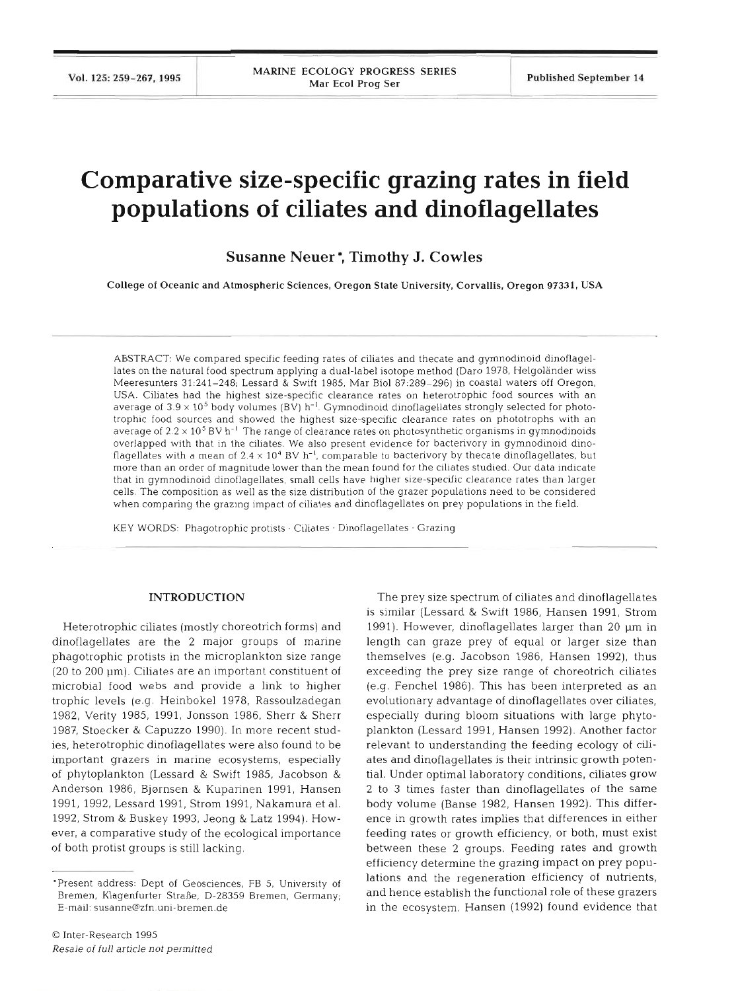# **Comparative size-specific grazing rates in field populations of ciliates and dinoflagellates**

**Susanne Neuer** \*, **Timothy J. Cowles** 

College of Oceanic and Atmospheric Sciences. Oregon State University, Corvallis, Oregon 97331, USA

ABSTRACT: We compared specific feeding rates of ciliates and thecate and gymnodinoid dinoflagellates on the natural food spectrum applying a dual-label isotope method (Daro 1978, Helgoländer wiss Meeresunters 31:241-248; Lessard & Swift 1985, Mar Biol 87:289-296) in coastal waters off Oregon, USA. Ciliates had the highest size-specific clearance rates on heterotrophic food sources with an average of  $3.9 \times 10^5$  body volumes (BV) h<sup>-1</sup>. Gymnodinoid dinoflagellates strongly selected for phototrophic food sources and showed the highest size-specific clearance rates on phototrophs with an average of 2.2 X **105** BV h-' The range of clearance rates on photosynthetic organisms in gymnodinoids overlapped with that in the ciliates. We also present evidence for bacterivory in gymnodinoid dinoflagellates with a mean of  $2.4 \times 10^4$  BV h<sup>-1</sup>, comparable to bacterivory by thecate dinoflagellates, but more than an order of magnitude lower than the mean found for the ciliates studied. Our data indicate that in gymnodinoid dinoflagellates, small cells have higher size-specific clearance rates than larger cells. The composition as well as the size distribution of the grazer populations need to be considered when comparing the grazing impact of ciliates and dinoflagellates on prey populations in the field.

KEY WORDS: Phagotrophic protists · Ciliates · Dinoflagellates · Grazing

# **INTRODUCTION**

Heterotrophic ciliates (mostly choreotrich forms) and dinoflagellates are the 2 major groups of marine phagotrophic protists in the microplankton size range (20 to 200 pm). Ciliates are an important constituent of microbial food webs and provide a link to higher trophic levels (e.g. Heinbokel 1978, Rassoulzadegan 1982, Verity 1985, 1991, Jonsson 1986, Sherr & Sherr 1987, Stoecker & Capuzzo 1990). In more recent studies, heterotrophic dinoflagellates were also found to be important grazers in marine ecosystems, especially of phytoplankton (Lessard & Swift 1985, Jacobson & Anderson 1986, Bjørnsen & Kuparinen 1991, Hansen 1991, 1992, Lessard 1991, Strom 1991, Nakamura et al. 1992, Strom & Buskey 1993, Jeong & Latz 1994). However, a comparative study of the ecological importance of both protist groups is still lacking.

The prey size spectrum of ciliates and dinoflagellates is similar (Lessard & Swift 1986, Hansen 1991, Strom 1991). However, dinoflagellates larger than 20  $\mu$ m in length can graze prey of equal or larger size than themselves (e.g. Jacobson 1986, Hansen 1992), thus exceeding the prey size range of choreotrich ciliates (e.g. Fenchel 1986). This has been interpreted as an evolutionary advantage of dinoflagellates over ciliates, especially during bloom situations with large phytoplankton (Lessard 1991, Hansen 1992). Another factor relevant to understanding the feeding ecology of ciliates and dinoflagellates is their intrinsic growth potential. Under optimal laboratory conditions, ciliates grow 2 to 3 times faster than dinoflagellates of the same body volume (Banse 1982, Hansen 1992). This difference in growth rates implies that differences in either feeding rates or growth efficiency, or both, must exist between these 2 groups. Feeding rates and growth efficiency determine the grazing impact on prey populations and the regeneration efficiency of nutrients, and hence establish the functional role of these grazers in the ecosystem. Hansen (1992) found evidence that

<sup>&#</sup>x27;Present address: Dept of Geosciences, FB 5, University of Bremen, Klagenfurter Straße, D-28359 Bremen, Germany; E-mail: **susanne@zfn.uni-bremen.de**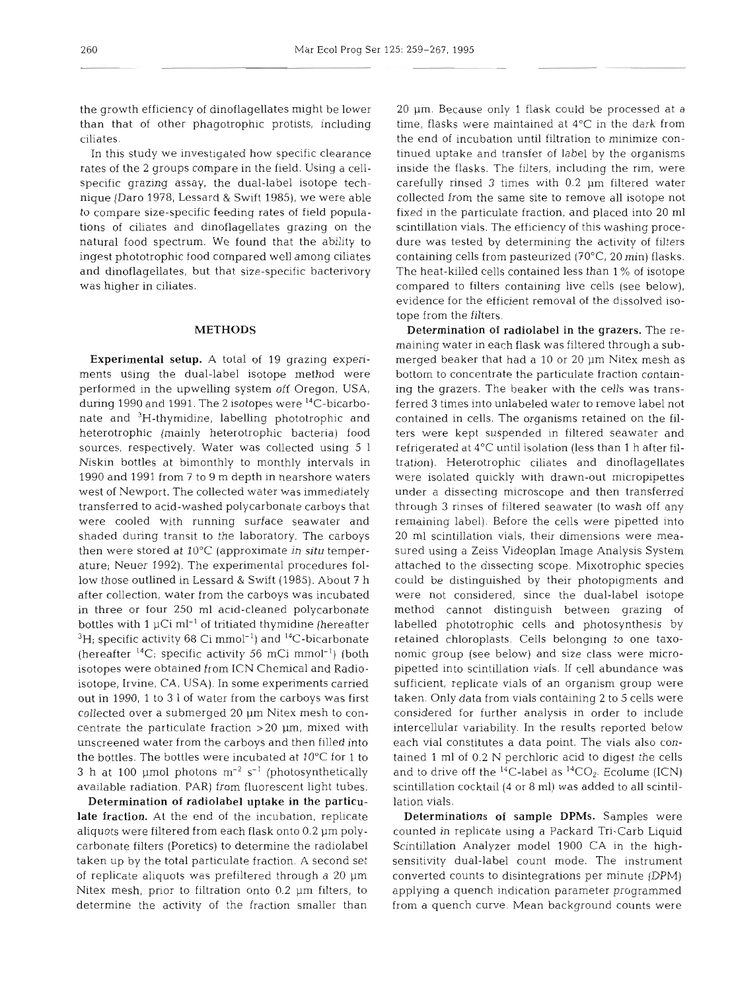the growth efficiency of dinoflagellates might be lower than that of other phagotrophic protists, including ciliates.

In this study we investigated how specific clearance rates of the 2 groups compare in the field. Using a cellspecific grazing assay, the dual-label isotope technique (Daro 1978, Lessard & Swift 1985), we were able to compare size-specific feeding rates of field populations of ciliates and dinoflagellates grazing on the natural food spectrum. We found that the ability to ingest phototrophic food compared well among ciliates and dinoflagellates, but that size-specific bacterivory was higher in ciliates.

# METHODS

Experimental setup. A total of 19 grazing experiments using the dual-label isotope method were performed in the upwelling system off Oregon, USA, during 1990 and 1991. The 2 isotopes were  $^{14}$ C-bicarbonate and 3H-thymidine, labelling phototrophic and heterotrophic (mainly heterotrophic bacteria) food sources, respectively. Water was collected using 5 1 Niskin bottles at bimonthly to monthly intervals in 1990 and 1991 from 7 to 9 m depth in nearshore waters west of Newport. The collected water was immediately transferred to acid-washed polycarbonate carboys that were cooled with running surface seawater and shaded during transit to the laboratory. The carboys then were stored at 10°C (approximate **in situ** temperature; Neuer 1992). The experimental procedures follow those outlined in Lessard & Swift (1985). About 7 h after collection, water from the carboys was incubated in three or four 250 m1 acid-cleaned polycarbonate bottles with  $1 \mu$ Ci ml<sup>-1</sup> of tritiated thymidine (hereafter  ${}^{3}$ H; specific activity 68 Ci mmol<sup>-1</sup>) and  ${}^{14}$ C-bicarbonate (hereafter  ${}^{14}C$ ; specific activity 56 mCi mmol<sup>-1</sup>) (both isotopes were obtained from ICN Chemical and Radioisotope, Irvine, CA, USA). In some experiments carried out in 1990, 1 to 3 1 of water from the carboys was first collected over a submerged 20  $\mu$ m Nitex mesh to concentrate the particulate fraction  $>20$   $\mu$ m, mixed with unscreened water from the carboys and then filled into the bottles. The bottles were incubated at 10°C for 1 to 3 h at 100  $\mu$ mol photons  $m^{-2}$  s<sup>-1</sup> (photosynthetically available radiation, PAR) from fluorescent light tubes.

Determination of radiolabel uptake in the particulate fraction. At the end of the incubation, replicate aliquots were filtered from each flask onto 0.2 pm polycarbonate filters (Poretics) to determine the radiolabel taken up by the total particulate fraction. **A** second set of replicate aliquots was prefiltered through a 20 pm Nitex mesh, prior to filtration onto 0.2 pm filters, to determine the activity of the fraction smaller than

20 pm. Because only 1 flask could be processed at a time, flasks were maintained at  $4^{\circ}$ C in the dark from the end of incubation until filtration to minimize continued uptake and transfer of label by the organisms inside the flasks. The filters, including the rim, were carefully rinsed 3 times with 0.2 pm filtered water collected from the same site to remove all isotope not fixed in the particulate fraction, and placed into 20 m1 scintillation vials. The efficiency of this washing procedure was tested by determining the activity of filters containing cells from pasteurized (70°C, 20 min) flasks. The heat-killed cells contained less than 1 % of isotope compared to filters containing live cells (see below), evidence for the efficient removal of the dissolved isotope from the filters.

Determination of radiolabel in the grazers. The remaining water in each flask was filtered through a submerged beaker that had a 10 or 20 µm Nitex mesh as bottom to concentrate the particulate fraction containing the grazers. The beaker with the cells was transferred 3 times into unlabeled water to remove label not contained in cells. The organisms retained on the filters were kept suspended in filtered seawater and refrigerated at 4°C until isolation (less than 1 h after filtration). Heterotrophic ciliates and dinoflagellates were isolated quickly with drawn-out micropipettes under a dissecting microscope and then transferred through 3 rinses of filtered seawater (to wash off any remaining label). Before the cells were pipetted into 20 m1 scintillation vials, their dimensions were measured using a Zeiss Videoplan Image Analysis System attached to the dissecting scope. Mixotrophic species could be distinguished by their photopigments and were not considered, since the dual-label isotope method cannot distinguish between grazing of labelled phototrophic cells and photosynthesis by retained chloroplasts. Cells belonging to one taxonomic group (see below) and size class were micropipetted into scintillation vials. If cell abundance was sufficient, replicate vials of an organism group were taken. Only data from vials containing 2 to 5 cells were considered for further analysis in order to include intercellular variability. In the results reported below each vial constitutes a data point. The vials also contained 1 m1 of 0.2 N perchloric acid to digest the cells and to drive off the <sup>14</sup>C-label as <sup>14</sup>CO<sub>2</sub>. Ecolume (ICN) scintillation cocktail (4 or 8 ml) was added to all scintillation vials.

Determinations of sample DPMs. Samples were counted in replicate using a Packard Tri-Carb Liquid Scintillation Analyzer model 1900 CA in the highsensitivity dual-label count mode. The instrument converted counts to disintegrations per minute (DPM) applying a quench indication parameter programmed from a quench curve. Mean background counts were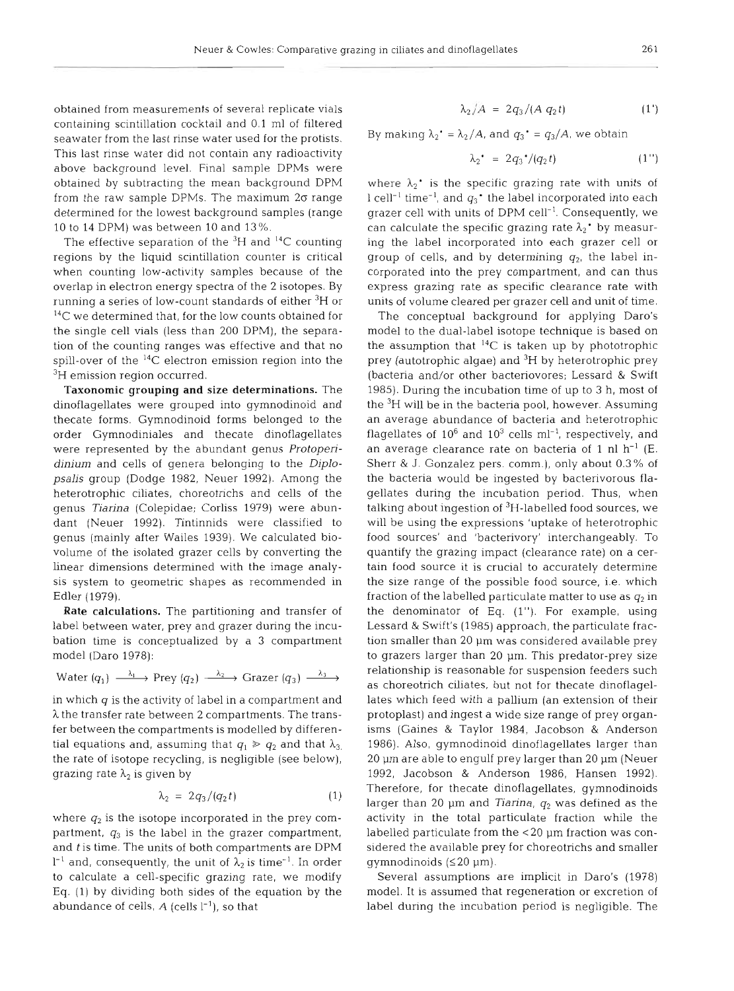obtained from measurements of several replicate vials containing scintillation cocktail and 0.1 m1 of filtered seawater from the last rinse water used for the protists. This last rinse water did not contain any radioactivity above background level. Final sample DPMs were obtained by subtracting the mean background DPM from the raw sample DPMs. The maximum  $2\sigma$  range determined for the lowest background samples (range 10 to 14 DPM) was between 10 and 13%.

The effective separation of the  ${}^{3}H$  and  ${}^{14}C$  counting regions by the liquid scintillation counter is critical when counting low-activity samples because of the overlap in electron energy spectra of the 2 isotopes. By running a series of low-count standards of either  ${}^{3}$ H or <sup>14</sup>C we determined that, for the low counts obtained for the single cell vials (less than 200 DPM), the separation of the counting ranges was effective and that no spill-over of the  $^{14}C$  electron emission region into the <sup>3</sup>H emission region occurred.

Taxonomic grouping and size determinations. The dinoflagellates were grouped into gymnodinoid and thecate forms. Gymnodinoid forms belonged to the order Gymnodiniales and thecate dinoflagellates were represented by the abundant genus *Protoperidinium* and cells of genera belonging to the *Diplopsalis* group (Dodge 1982, Neuer 1992). Among the heterotrophic ciliates, choreotrichs and cells of the genus *Tiarina* (Colepidae; Corliss 1979) were abundant (Neuer 1992). Tintinnids were classified to genus (mainly after Wailes 1939). We calculated biovolume of the isolated grazer cells by converting the linear dimensions determined with the image analysis system to geometric shapes as recommended in Edler (1979).

Rate calculations. The partitioning and transfer of label between water, prey and grazer during the incubation time is conceptualized by a 3 compartment model (Daro 1978):

Water 
$$
(q_1) \xrightarrow{\lambda_1}
$$
 Prey  $(q_2) \xrightarrow{\lambda_2}$  Grazer  $(q_3) \xrightarrow{\lambda_3}$ 

in which  $q$  is the activity of label in a compartment and  $\lambda$  the transfer rate between 2 compartments. The transfer between the compartments is modelled by differential equations and, assuming that  $q_1 \ge q_2$  and that  $\lambda_{3}$ , the rate of isotope recycling, is negligible (see below), grazing rate *h2* is given by

$$
\lambda_2 = 2q_3/(q_2 t) \tag{1}
$$

where  $q_2$  is the isotope incorporated in the prey compartment,  $q_3$  is the label in the grazer compartment, and *t* is time. The units of both compartments are DPM  $l^{-1}$  and, consequently, the unit of  $\lambda_2$  is time<sup>-1</sup>. In order to calculate a cell-specific grazing rate, we modify Eq. (1) by dividing both sides of the equation by the abundance of cells,  $A$  (cells  $l^{-1}$ ), so that

$$
\lambda_2/A = 2q_3/(A q_2 t) \tag{1'}
$$

By making  $\lambda_2' = \lambda_2/A$ , and  $q_3' = q_3/A$ , we obtain

$$
\lambda_2^* = 2q_3^*/(q_2 t) \tag{1'}
$$

where  $\lambda_2$ <sup>\*</sup> is the specific grazing rate with units of  $1$  cell<sup>-1</sup> time<sup>-1</sup>, and  $q_3$ <sup>\*</sup> the label incorporated into each grazer cell with units of DPM cell<sup>-1</sup>. Consequently, we can calculate the specific grazing rate  $\lambda_2$ <sup>+</sup> by measuring the label incorporated into each grazer cell or group of cells, and by determining  $q_2$ , the label incorporated into the prey compartment, and can thus express grazing rate as specific clearance rate with units of volume cleared per grazer cell and unit of time.

The conceptual background for applying Daro's model to the dual-label isotope technique is based on the assumption that  ${}^{14}C$  is taken up by phototrophic prey (autotrophic algae) and <sup>3</sup>H by heterotrophic prey (bacteria and/or other bacteriovores; Lessard & Swift 1985). During the incubation time of up to 3 h, most of the <sup>3</sup>H will be in the bacteria pool, however. Assuming an average abundance of bacteria and heterotrophic flagellates of  $10^6$  and  $10^3$  cells ml<sup>-1</sup>, respectively, and an average clearance rate on bacteria of 1 nl  $h^{-1}$  (E. Sherr & J. Gonzalez pers. comm.), only about 0.3% of the bacteria would be ingested by bacterivorous flagellates during the incubation period. Thus, when talking about ingestion of <sup>3</sup>H-labelled food sources, we will be using the expressions 'uptake of heterotrophic food sources' and 'bacterivory' interchangeably. To quantify the grazing impact (clearance rate) on a certain food source it is crucial to accurately determine the size range of the possible food source, i.e. which fraction of the labelled particulate matter to use as  $q_2$  in the denominator of Eq. (l"). For example, using Lessard & Swift's (1985) approach, the particulate fraction smaller than 20 µm was considered available prey to grazers larger than 20 um. This predator-prey size relationship is reasonable for suspension feeders such as choreotrich ciliates, but not for thecate dinoflagellates which feed with a pallium (an extension of their protoplast) and ingest a wide size range of prey organisms (Gaines & Taylor 1984, Jacobson & Anderson 1986). Also, gymnodinoid dinoflagellates larger than 20 µm are able to engulf prey larger than 20 µm (Neuer 1992, Jacobson & Anderson 1986, Hansen 1992). Therefore, for thecate dinoflagellates, gymnodinoids larger than 20 µm and *Tiarina*,  $q_2$  was defined as the activity in the total particulate fraction while the labelled particulate from the  $<$  20  $\mu$ m fraction was considered the available prey for choreotrichs and smaller gymnodinoids  $(\leq 20 \mu m)$ .

Several assumptions are implicit in Daro's (1978) model. It is assumed that regeneration or excretion of label during the incubation period is negligible. The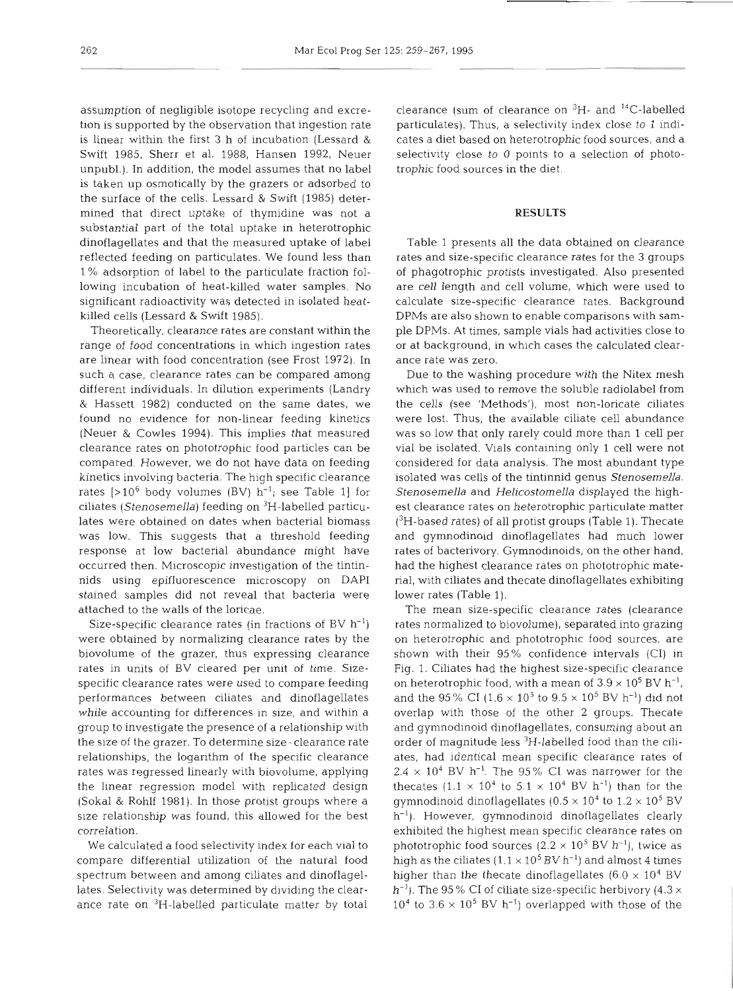assumption of negligible isotope recycling and excretion is supported by the observation that ingestion rate is linear within the first 3 h of incubation (Lessard & Swift 1985, Sherr et al. 1988, Hansen 1992, Neuer unpubl.). In addition, the model assumes that no label is taken up osmotically by the grazers or adsorbed to the surface of the cells. Lessard & Swift (1985) determined that direct uptake of thymidine was not a substantial part of the total uptake in heterotrophic dinoflagellates and that the measured uptake of label reflected feeding on particulates. We found less than 1 % adsorption of label to the particulate fraction following incubation of heat-killed water samples. No significant radioactivity was detected in isolated heatkilled cells (Lessard & Swift 1985).

Theoretically, clearance rates are constant within the range of food concentrations in which ingestion rates are linear with food concentration (see Frost 1972). In such a case, clearance rates can be compared among different individuals. In dilution experiments (Landry & Hassett 1982) conducted on the same dates, we found no evidence for non-linear feeding kinetics (Neuer & Cowles 1994). This implies that measured clearance rates on phototrophic food particles can be compared. However, we do not have data on feeding kinetics involving bacteria. The high specific clearance rates  $[>10^6$  body volumes (BV)  $h^{-1}$ ; see Table 1] for ciliates (Stenosemella) feeding on <sup>3</sup>H-labelled particulates were obtained on dates when bacterial biomass was low. This suggests that a threshold feeding response at low bacterial abundance might have occurred then. Microscopic investigation of the tintinnids using epifluorescence microscopy on DAPI stained samples did not reveal that bacteria were attached to the walls of the loricae.

Size-specific clearance rates (in fractions of BV  $h^{-1}$ ) were obtained by normalizing clearance rates by the biovolume of the grazer, thus expressing clearance rates in units of BV cleared per unit of time. Sizespecific clearance rates were used to compare feeding performances between ciliates and dinoflagellates while accounting for differences in size, and within a group to investigate the presence of a relationship with the size of the grazer. To determine size- clearance rate relationships, the loganthm of the specific clearance rates was regressed linearly with biovolume, applying the linear regression model with replicated design (Sokal & Rohlf 1981). In those protist groups where a size relationship was found, this allowed for the best correlation.

We calculated a food selectivity index for each vial to compare differential utilization of the natural food spectrum between and among ciliates and dinoflagellates. Selectivity was determined by dividing the clearance rate on 3H-labelled particulate matter by total

clearance (sum of clearance on  ${}^{3}H-$  and  ${}^{14}C-$ labelled particulates). Thus, a selectivity index close to 1 indicates a diet based on heterotrophic food sources, and a selectivity close to 0 points to a selection of phototrophic food sources in the diet.

### **RESULTS**

Table 1 presents all the data obtained on clearance rates and size-specific clearance rates for the 3 groups of phagotrophic protists investigated. Also presented are cell length and cell volume, which were used to calculate size-specific clearance rates. Background DPMs are also shown to enable comparisons with sample DPMs. At times, sample vials had activities close to or at background, in which cases the calculated clearance rate was zero.

Due to the washing procedure with the Nitex mesh which was used to remove the soluble radiolabel from the cells (see 'Methods'), most non-loricate ciliates were lost. Thus, the available ciliate cell abundance was so low that only rarely could more than 1 cell per vial be isolated. Vials containing only 1 cell were not considered for data analysis. The most abundant type isolated was cells of the tintinnid genus Stenosemella. Stenosemella and Helicostomella displayed the highest clearance rates on heterotrophic particulate matter  $(^{3}H$ -based rates) of all protist groups (Table 1). Thecate and gymnodinoid dinoflagellates had much lower rates of bacterivory. Gymnodinoids, on the other hand, had the highest clearance rates on phototrophic material, with ciliates and thecate dinoflagellates exhibiting lower rates (Table 1).

The mean size-specific clearance rates (clearance rates normalized to biovolume), separated into grazing on heterotrophic and phototrophic food sources, are shown with their 95% confidence intervals (CI) in Fig. 1. Ciliates had the highest size-specific clearance on heterotrophic food, with a mean of  $3.9 \times 10^5$  BV h<sup>-1</sup>, and the 95% CI ( $1.6 \times 10^5$  to  $9.5 \times 10^5$  BV h<sup>-1</sup>) did not overlap with those of the other 2 groups. Thecate and gymnodinoid dinoflagellates, consuming about an order of magnitude less <sup>3</sup>H-labelled food than the ciliates, had identical mean specific clearance rates of  $2.4 \times 10^4$  BV h<sup>-1</sup>. The 95% CI was narrower for the thecates  $(1.1 \times 10^4 \text{ to } 5.1 \times 10^4 \text{ BV h}^{-1})$  than for the gymnodinoid dinoflagellates ( $0.5 \times 10^4$  to  $1.2 \times 10^5$  BV h<sup>-1</sup>). However, gymnodinoid dinoflagellates clearly exhibited the highest mean specific clearance rates on phototrophic food sources  $(2.2 \times 10^5 \text{ BV h}^{-1})$ , twice as high as the ciliates  $(1.1 \times 10^5 \text{ BV h}^{-1})$  and almost 4 times higher than the thecate dinoflagellates ( $6.0 \times 10^4$  BV  $h^{-1}$ ). The 95% CI of ciliate size-specific herbivory (4.3  $\times$  $10<sup>4</sup>$  to  $3.6 \times 10<sup>5</sup>$  BV h<sup>-1</sup>) overlapped with those of the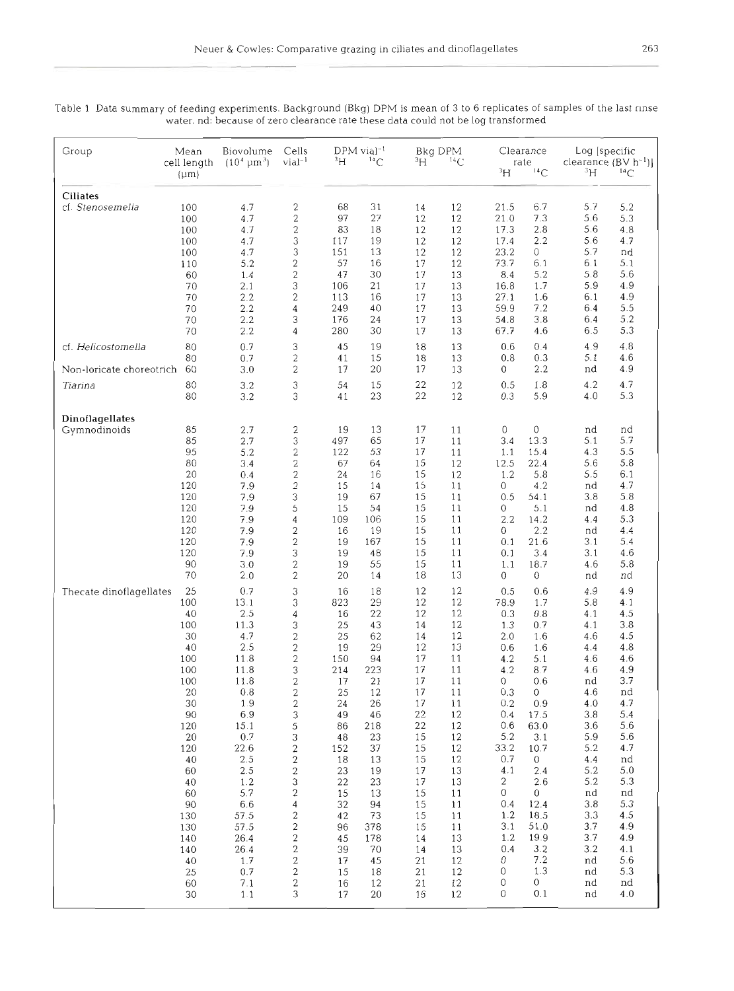263

| Group                    | Mean<br>cell length<br>$(\mu m)$ | Biovolume<br>$(10^4 \,\mathrm{\mu m}^3)$ | Cells<br>vial <sup>-1</sup>                        | $\rm{^{3}H}$ | $DPM$ vial <sup>-1</sup><br>$^{14}$ C | зH       | Bkg DPM<br>${}^{14}C$ |                | Clearance<br>rate<br>$\rm{^3H}$<br>14C |            | Log [specific<br>clearance $(BV h^{-1})$ ]<br>зh<br>$^{14}$ C |  |
|--------------------------|----------------------------------|------------------------------------------|----------------------------------------------------|--------------|---------------------------------------|----------|-----------------------|----------------|----------------------------------------|------------|---------------------------------------------------------------|--|
|                          |                                  |                                          |                                                    |              |                                       |          |                       |                |                                        |            |                                                               |  |
| <b>Ciliates</b>          |                                  |                                          |                                                    |              |                                       |          |                       |                |                                        |            |                                                               |  |
| cf. Stenosemella         | 100<br>100                       | 4.7<br>4.7                               | $\overline{\mathbf{c}}$<br>$\overline{\mathbf{c}}$ | 68<br>97     | 31<br>27                              | 14<br>12 | 12<br>12              | 21.5<br>21.0   | 6.7<br>7.3                             | 5.7<br>5.6 | 5.2<br>5.3                                                    |  |
|                          | 100                              | 4.7                                      | $\overline{c}$                                     | 83           | 18                                    | 12       | 12                    | 17.3           | 2.8                                    | 5.6        | 4.8                                                           |  |
|                          | 100                              | 4.7                                      | 3                                                  | 117          | 19                                    | 12       | 12                    | 17.4           | 2.2                                    | 5.6        | 4.7                                                           |  |
|                          | 100                              | 4.7                                      | 3                                                  | 151          | 13                                    | 12       | 12                    | 23.2           | 0                                      | 5.7        | nd                                                            |  |
|                          | 110                              | 5.2                                      | $\overline{\mathbf{c}}$                            | 57           | 16                                    | 17       | 12                    | 73.7           | 6.1                                    | 6.1        | 5.1                                                           |  |
|                          | 60                               | 1.4                                      | $\overline{c}$                                     | 47           | 30                                    | 17       | 13                    | 8.4            | 5.2                                    | 5.8        | 5.6                                                           |  |
|                          | 70                               | 2.1                                      | 3                                                  | 106          | 21                                    | 17       | 13                    | 16.8           | 1.7                                    | 5.9        | 4.9                                                           |  |
|                          | 70                               | 2.2                                      | $\overline{\mathbf{c}}$                            | 113          | 16                                    | 17       | 13                    | 27.1           | 1.6                                    | 6.1        | 4.9                                                           |  |
|                          | 70                               | 2.2                                      | $\overline{4}$                                     | 249          | 40                                    | 17       | 13                    | 59.9           | 7.2                                    | 6.4        | 5.5                                                           |  |
|                          | 70                               | 2.2                                      | 3                                                  | 176          | 24                                    | 17       | 13                    | 54.8           | 3.8                                    | 6.4        | 5.2                                                           |  |
|                          | 70                               | 2.2                                      | 4                                                  | 280          | 30                                    | 17       | 13                    | 67.7           | 4.6                                    | 6.5        | 5.3                                                           |  |
| cf. Helicostomella       | 80                               | 0.7                                      | 3                                                  | 45           | 19                                    | 18       | 13                    | 0.6            | 0.4                                    | 4.9        | 4.8                                                           |  |
|                          | 80                               | 0.7                                      | $\overline{c}$                                     | 41           | 15                                    | 18       | 13                    | 0.8            | 0.3                                    | 5.1        | 4.6                                                           |  |
| Non-loricate choreotrich | 60                               | 3.0                                      | $\overline{c}$                                     | 17           | 20                                    | 17       | 13                    | 0              | 2.2                                    | nd         | 4.9                                                           |  |
| Tiarina                  | 80                               | 3.2                                      | 3                                                  | 54           | 15                                    | 22       | 12                    | 0.5            | 1.8                                    | 4.2        | 4.7                                                           |  |
|                          | 80                               | 3.2                                      | 3                                                  | 41           | 23                                    | 22       | 12                    | 0.3            | 5.9                                    | 4.0        | 5.3                                                           |  |
|                          |                                  |                                          |                                                    |              |                                       |          |                       |                |                                        |            |                                                               |  |
| Dinoflagellates          |                                  |                                          |                                                    |              |                                       |          |                       |                |                                        |            |                                                               |  |
| Gymnodinoids             | 85                               | 2.7                                      | 2                                                  | 19           | 13                                    | 17       | 11                    | 0              | 0                                      | nd         | nd                                                            |  |
|                          | 85                               | 2.7                                      | 3                                                  | 497          | 65                                    | 17       | 11                    | 3.4            | 13.3                                   | 5.1        | 5.7                                                           |  |
|                          | 95                               | 5.2                                      | $\overline{c}$                                     | 122          | 53                                    | 17       | 11                    | 1.1            | 15.4                                   | 4.3        | 5.5                                                           |  |
|                          | 80                               | 3.4                                      | $\overline{2}$                                     | 67           | 64                                    | 15       | 12                    | 12.5           | 22.4                                   | 5.6        | 5.8                                                           |  |
|                          | 20                               | 0.4                                      | 2                                                  | 24           | 16                                    | 15       | 12                    | 1.2            | 5.8                                    | 5.5        | 6.1                                                           |  |
|                          | 120                              | 7.9                                      | $\overline{c}$                                     | 15           | 14                                    | 15       | 11                    | 0              | 4.2                                    | nd         | 4.7                                                           |  |
|                          | 120                              | 7.9<br>7.9                               | 3                                                  | 19           | 67                                    | 15       | 11                    | 0.5            | 54.1                                   | 3.8        | 5.8                                                           |  |
|                          | 120                              | 7.9                                      | 5<br>4                                             | 15<br>109    | 54<br>106                             | 15<br>15 | 11<br>11              | 0<br>2.2       | 5.1<br>14.2                            | nd<br>4.4  | 4.8<br>5.3                                                    |  |
|                          | 120<br>120                       | 7.9                                      | 2                                                  | 16           | 19                                    | 15       | 11                    | 0              | 2.2                                    | nd         | 4.4                                                           |  |
|                          | 120                              | 7.9                                      | $\overline{c}$                                     | 19           | 167                                   | 15       | 11                    | 0.1            | 21.6                                   | 3.1        | 5.4                                                           |  |
|                          | 120                              | 7.9                                      | 3                                                  | 19           | 48                                    | 15       | 11                    | 0.1            | 3.4                                    | 3.1        | 4.6                                                           |  |
|                          | 90                               | 3.0                                      | $\overline{c}$                                     | 19           | 55                                    | 15       | 11                    | 1.1            | 18.7                                   | 4.6        | 5.8                                                           |  |
|                          | 70                               | 2.0                                      | 2                                                  | 20           | 14                                    | 18       | 13                    | 0              | 0                                      | nd         | nd                                                            |  |
| Thecate dinoflagellates  | 25                               | 0.7                                      | 3                                                  | 16           | 18                                    | 12       | 12                    | 0.5            | 0.6                                    | 4.9        | 4.9                                                           |  |
|                          | 100                              | 13.1                                     | 3                                                  | 823          | 29                                    | 12       | 12                    | 78.9           | 1.7                                    | 5.8        | 4.1                                                           |  |
|                          | 40                               | 2.5                                      | 4                                                  | 16           | 22                                    | 12       | 12                    | 0.3            | 0.8                                    | 4.1        | 4.5                                                           |  |
|                          | 100                              | 11.3                                     | 3                                                  | 25           | 43                                    | 14       | 12                    | 1.3            | 0.7                                    | 4.1        | 3.8                                                           |  |
|                          | 30                               | 4.7                                      | $\overline{\mathbf{c}}$                            | 25           | 62                                    | 14       | 12                    | 2.0            | 1.6                                    | 4.6        | 4.5                                                           |  |
|                          | 40                               | 2.5                                      | $\overline{\mathbf{c}}$                            | 19           | 29                                    | 12       | 13                    | 0.6            | 1.6                                    | 4.4        | 4.8                                                           |  |
|                          | 100                              | 11.8                                     | $\overline{c}$                                     | 150          | 94                                    | 17       | 11                    | 4.2            | 5.1                                    | 4.6        | 4.6                                                           |  |
|                          | 100                              | 11.8                                     | 3                                                  | 214          | 223                                   | 17       | 11                    | 4.2            | 8.7                                    | 4.6        | 4.9                                                           |  |
|                          | 100                              | 11.8                                     | 2                                                  | 17           | 21                                    | 17       | 11                    | 0              | 0.6                                    | nd         | 3.7                                                           |  |
|                          | 20                               | 0.8                                      | $\overline{c}$                                     | 25           | 12                                    | 17       | 11                    | 0.3            | 0                                      | 4.6        | nd                                                            |  |
|                          | 30                               | $1.9$                                    | $\overline{\mathbf{c}}$                            | 24           | 26                                    | 17       | 11                    | 0.2            | 0.9                                    | 4.0        | 4.7                                                           |  |
|                          | 90                               | 6.9                                      | 3                                                  | 49           | 46                                    | 22<br>22 | 12                    | 0.4            | 17.5                                   | 3.8        | 5.4                                                           |  |
|                          | 120<br>20                        | 15.1<br>0.7                              | 5<br>3                                             | 86<br>48     | 218<br>23                             | 15       | 12<br>12              | 0.6<br>$5.2\,$ | 63.0<br>3.1                            | 3.6<br>5.9 | 5.6<br>5.6                                                    |  |
|                          | 120                              | 22.6                                     | $\overline{\mathbf{c}}$                            | 152          | 37                                    | 15       | 12                    | 33.2           | 10.7                                   | 5.2        | 4.7                                                           |  |
|                          | 40                               | $2.5\,$                                  | 2                                                  | 18           | 13                                    | 15       | 12                    | 0.7            | $\overline{0}$                         | 4.4        | nd                                                            |  |
|                          | 60                               | $2.5\,$                                  | $\overline{\mathbf{c}}$                            | 23           | 19                                    | 17       | 13                    | 4.1            | 2.4                                    | 5.2        | 5.0                                                           |  |
|                          | 40                               | 1.2                                      | 3                                                  | 22           | 23                                    | 17       | 13                    | 2              | 2.6                                    | 5.2        | 5.3                                                           |  |
|                          | 60                               | 5.7                                      | 2                                                  | 15           | 13                                    | 15       | 11                    | 0              | 0                                      | nd         | nd                                                            |  |
|                          | 90                               | 6.6                                      | 4                                                  | 32           | 94                                    | 15       | 11                    | 0.4            | 12.4                                   | 3.8        | 5.3                                                           |  |
|                          | 130                              | 57.5                                     | $\overline{\mathbf{c}}$                            | 42           | 73                                    | 15       | 11                    | 1.2            | 18.5                                   | 3.3        | 4.5                                                           |  |
|                          | 130                              | 57.5                                     | 2                                                  | 96           | 378                                   | 15       | 11                    | 3.1            | 51.0                                   | 3.7        | 4.9                                                           |  |
|                          | 140                              | 26.4                                     | $\overline{\mathbf{c}}$                            | 45           | 178                                   | 14       | 13                    | 1.2            | 19.9                                   | 3.7        | 4.9                                                           |  |
|                          | 140                              | 26.4                                     | 2                                                  | 39           | 70                                    | 14       | 13                    | 0.4            | 3.2                                    | 3.2        | 4.1                                                           |  |
|                          | 40                               | 1.7                                      | $\overline{\mathbf{c}}$                            | 17           | 45                                    | 21       | 12                    | $\theta$       | 7.2                                    | nd         | 5.6                                                           |  |
|                          | 25                               | 0.7                                      | 2                                                  | 15           | 18                                    | 21       | 12                    | 0              | 1.3                                    | nd         | 5.3                                                           |  |
|                          | 60<br>30                         | 7.1<br>1.1                               | 2<br>3                                             | 16<br>17     | 12<br>20                              | 21<br>16 | 12<br>12              | 0<br>0         | 0<br>0.1                               | nd<br>nd   | nd<br>4.0                                                     |  |
|                          |                                  |                                          |                                                    |              |                                       |          |                       |                |                                        |            |                                                               |  |

Table 1 Data summary of feeding experiments. Background (Bkg) DPM is mean of 3 to 6 replicates of samples of the last rinse water. nd: because of zero clearance rate these data could not be log transformed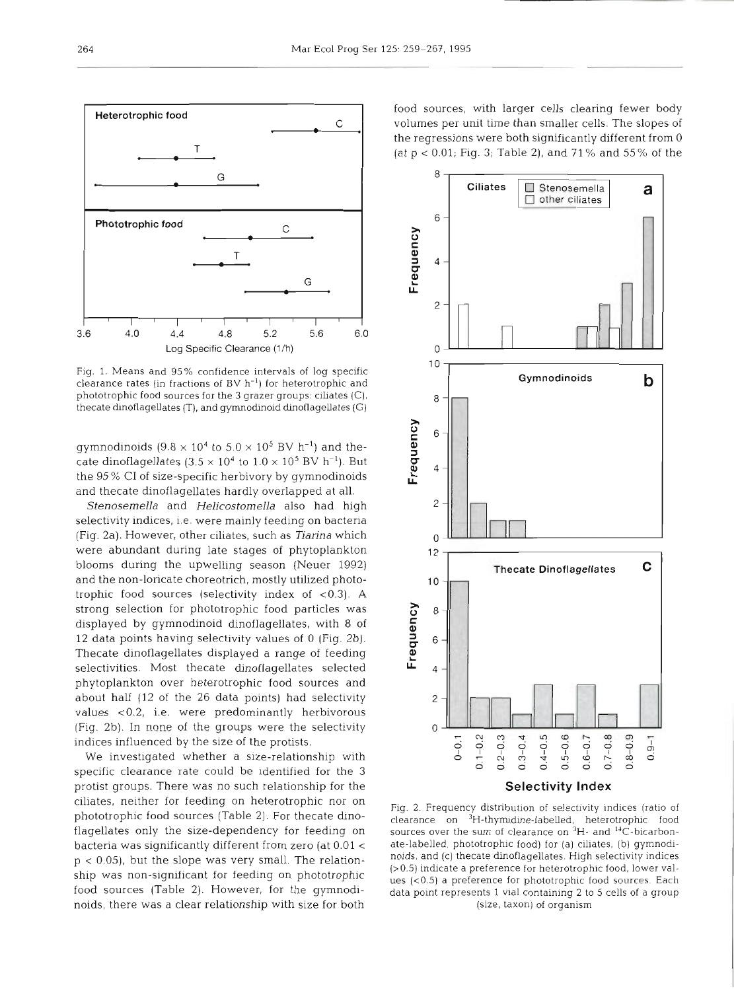

Fig. 1. Means and 95% confidence intervals of log specific clearance rates (in fractions of  $BV h^{-1}$ ) for heterotrophic and phototrophic food sources for the **3** grazer groups: ciliates (C), thecate dinoflagellates (T), and gymnodinoid dinoflagellates (G)

gymnodinoids  $(9.8 \times 10^4 \text{ to } 5.0 \times 10^5 \text{ BV h}^{-1})$  and thecate dinoflagellates  $(3.5 \times 10^4$  to  $1.0 \times 10^5$  BV h<sup>-1</sup>). But the 95 % C1 of size-specific herbivory by gymnodinoids and thecate dinoflagellates hardly overlapped at all.

*Stenosemella* and *Helicostomella* also had high selectivity indices, i.e. were mainly feeding on bacteria (Fig. 2a). However, other ciliates, such as *Tianna* which were abundant during late stages of phytoplankton blooms during the upwelling season (Neuer 1992) and the non-loricate choreotrich, mostly utilized phototrophic food sources (selectivity index of <0.3). A strong selection for phototrophic food particles was displayed by gymnodinoid dinoflagellates, with 8 of 12 data points having selectivity values of 0 (Fig. 2b). Thecate dinoflagellates displayed a range of feeding selectivities. Most thecate dinoflagellates selected phytoplankton over heterotrophic food sources and about half (12 of the 26 data points) had selectivity values ~0.2, i.e. were predominantly herbivorous (Fig. 2b). In none of the groups were the selectivity indices influenced by the size of the protists.

We investigated whether a size-relationship with specific clearance rate could be identified for the 3 protist groups. There was no such relationship for the ciliates, neither for feeding on heterotrophic nor on phototrophic food sources (Table 2). For thecate dinoflagellates only the size-dependency for feeding on bacteria was significantly different from zero (at 0.01 <sup>&</sup>lt;  $p < 0.05$ ), but the slope was very small. The relationship was non-significant for feeding on phototrophic food sources (Table 2). However, for the gymnodinoids, there was a clear relationship with size for both food sources, with larger cells clearing fewer body volumes per unit time than smaller cells. The slopes of the regressions were both significantly different from 0 (at p < 0.01; Fig. 3; Table 2), and 71 % and 55% of the



**Selectivity Index** 

Fig. 2. Frequency distribution of selectivity indices (ratio of clearance on <sup>3</sup>H-thymidine-labelled, heterotrophic food sources over the sum of clearance on <sup>3</sup>H- and <sup>14</sup>C-bicarbonate-labelled, phototrophic food) for (a) ciliates, (b) gymnodinoids, and (c) thecate dinoflagellates. High selectivity indices (>0.5) indicate a preference for heterotrophic food, lower values (<0.5) a preference for phototrophic food sources. Each data point represents 1 vial containing 2 to 5 cells of a group (size, taxon) of organism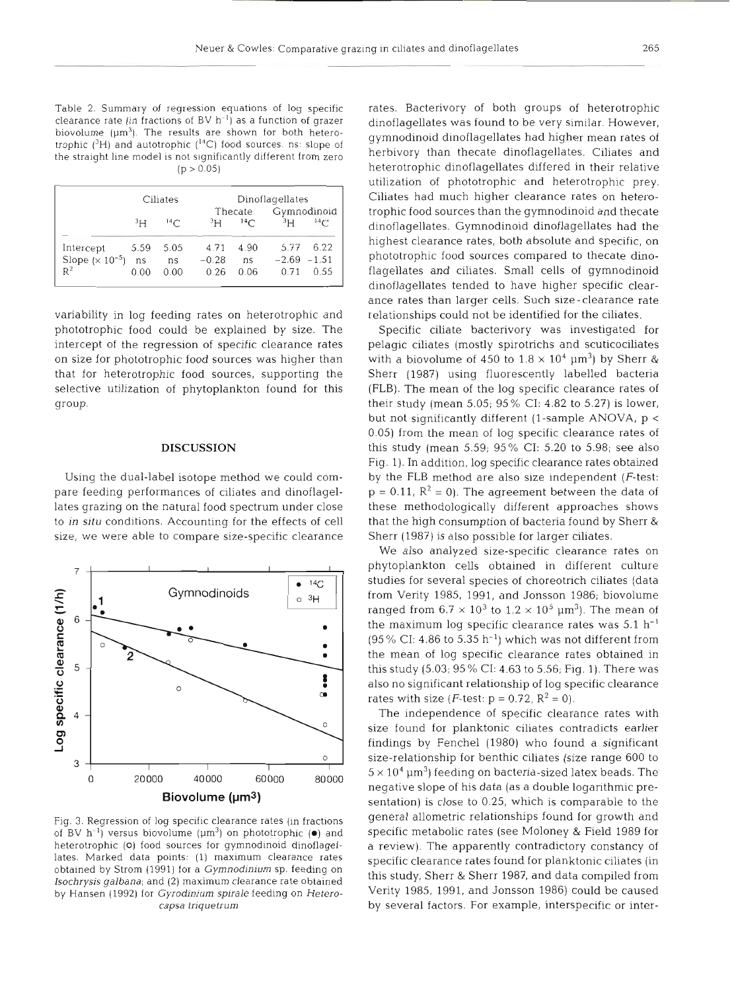Table 2. Summary of regression equations of log specific clearance rate (in fractions of BV  $h^{-1}$ ) as a function of grazer biovolume ( $\mu$ m<sup>3</sup>). The results are shown for both heterotrophic **(3H)** and autotrophic (I4C) food sources ns: slope of the straight line model is not significantly different from zero  $(p > 0.05)$ 

|                     |                | Ciliates        | Dinoflagellates |                 |                |      |  |  |
|---------------------|----------------|-----------------|-----------------|-----------------|----------------|------|--|--|
|                     |                |                 |                 | Thecate         | Gymnodinoid    |      |  |  |
|                     | 3 <sub>H</sub> | 14 <sup>2</sup> | <sup>3</sup> H  | 14 <sup>C</sup> | 3 <sub>H</sub> | 14C  |  |  |
| Intercept           | 5.59           | 5.05            | 4.71            | 4.90            | 5.77           | 6.22 |  |  |
| Slope $(x 10^{-5})$ | ns             | ns              | $-0.28$         | ns              | $-2.69 - 1.51$ |      |  |  |
| $R^2$               | 0.00           | 0.00            | 0.26            | 0.06            | 0.71           | 0.55 |  |  |

variability in log feeding rates on heterotrophic and phototrophic food could be explained by size. The intercept of the regression of specific clearance rates on size for phototrophic food sources was higher than that for heterotrophic food sources, supporting the selective utilization of phytoplankton found for this group.

# **DISCUSSION**

Using the dual-label isotope method we could compare feeding performances of ciliates and dinoflagellates grazing on the natural food spectrum under close to **!n** *situ* conditions. Accounting for the effects of cell size, we were able to compare size-specific clearance



Fig. **3.** Regression of log specific clearance rates (in fractions of BV  $h^{-1}$ ) versus biovolume  $(\mu m^3)$  on phototrophic  $(\bullet)$  and heterotrophic **(0)** food sources for gymnodinoid dinoflagellates. Marked data points: (1) maximum clearance rates obtained by Strom (1991) for a Gymnodinium sp. feeding on Isochrysis galbana; and (2) maximum clearance rate obtained by Hansen (1992) for Gyrodinium spirale feeding on Heterocapsa triquetrum

rates. Bacterivory of both groups of heterotrophic dinoflagellates was found to be very similar. However, gymnodinoid dinoflagellates had higher mean rates of herbivory than thecate dinoflagellates. Ciliates and heterotrophic dinoflagellates differed in their relative utilization of phototrophic and heterotrophic prey. Ciliates had much higher clearance rates on heterotrophic food sources than the gymnodinoid and thecate dinoflagellates. Gymnodinoid dinoflagellates had the highest clearance rates, both absolute and specific, on phototrophic food sources compared to thecate dinoflagellates and ciliates. Small cells of gymnodinoid dinoflagellates tended to have higher specific clearance rates than larger cells. Such size - clearance rate relationships could not be identified for the ciliates.

Specific ciliate bacterivory was investigated for pelagic ciliates (mostly spirotrichs and scuticociliates with a biovolume of 450 to  $1.8 \times 10^4$  µm<sup>3</sup>) by Sherr & Sherr (1987) using fluorescently labelled bacteria (FLB). The mean of the log specific clearance rates of their study (mean 5.05; 95 % CI: 4.82 to 5.27) is lower, but not significantly different (1-sample ANOVA, p < 0.05) from the mean of log specific clearance rates of this study (mean 5.59; 95% CI: 5.20 to 5.98; see also Fig. 1). In addition, log specific clearance rates obtained by the FLB method are also size independent  $(F-test)$ :  $p = 0.11$ ,  $R^2 = 0$ ). The agreement between the data of these methodologically different approaches shows that the high consumption of bacteria found by Sherr & Sherr (1987) is also possible for larger ciliates.

We also analyzed size-specific clearance rates on phytoplankton cells obtained in different culture studies for several species of choreotrich ciliates (data from Verity 1985, 1991, and Jonsson 1986; biovolume ranged from  $6.7 \times 10^3$  to  $1.2 \times 10^5$   $\mu$ m<sup>3</sup>). The mean of the maximum log specific clearance rates was  $5.1 \; \rm h^{-1}$  $(95\% \text{ CI: } 4.86 \text{ to } 5.35 \text{ h}^{-1})$  which was not different from the mean of log specific clearance rates obtained in this study (5.03; 95 % CI: **4.63** to 5.56; Fig. 1). There was also no significant relationship of log specific clearance rates with size (*F*-test:  $p = 0.72$ ,  $R^2 = 0$ ).

The independence of specific clearance rates with size found for planktonic ciliates contradicts earlier findings by Fenchel (1980) who found a significant size-relationship for benthic ciliates (size range 600 to  $5\times 10^4$   $\mu$ m $^3$ ) feeding on bacteria-sized latex beads. The negative slope of his data (as a double logarithmic presentation) is close to 0.25, which is comparable to the general allometric relationships found for growth and specific metabolic rates (see Moloney & Field 1989 for a review). The apparently contradictory constancy of specific clearance rates found for planktonic ciliates (in this study, Sherr & Sherr 1987, and data compiled from Verity 1985, 1991, and Jonsson 1986) could be caused by several factors. For example, interspecific or inter-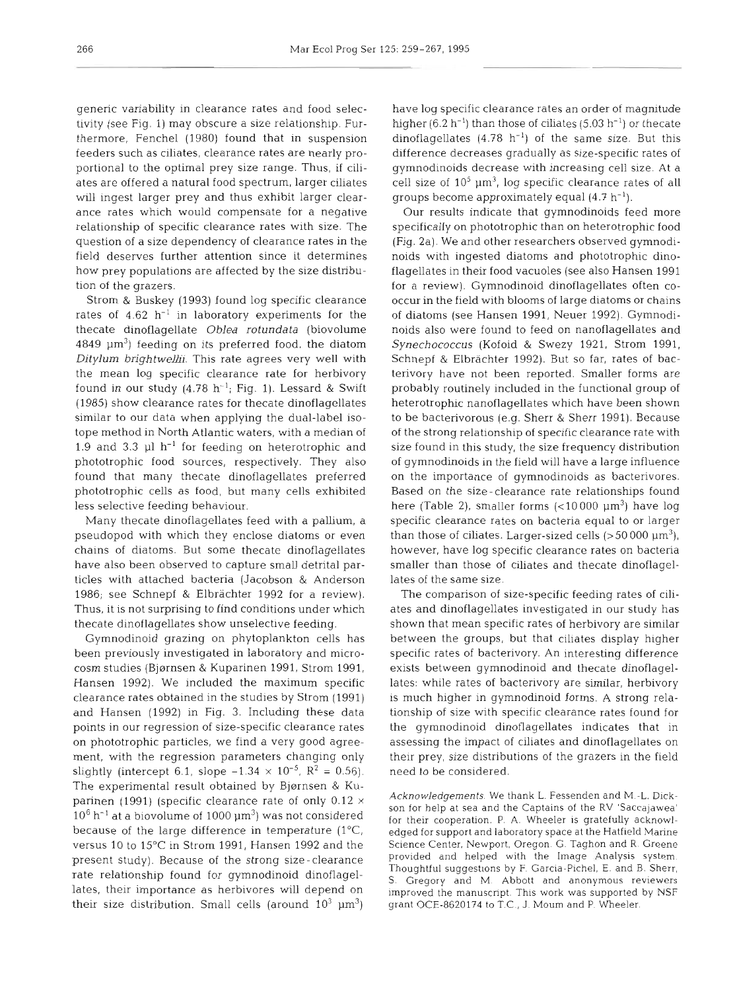generic variability in clearance rates and food selectivity (see Fig. 1) may obscure a size relationship. Furthermore, Fenchel (1980) found that in suspension feeders such as ciliates, clearance rates are nearly proportional to the optimal prey size range. Thus, if ciliates are offered a natural food spectrum, larger ciliates will ingest larger prey and thus exhibit larger clearance rates which would compensate for a negative relationship of specific clearance rates with size. The question of a size dependency of clearance rates in the field deserves further attention since it determines how prey populations are affected by the size distribution of the grazers.

Strom & Buskey (1993) found log specific clearance rates of  $4.62$  h<sup>-1</sup> in laboratory experiments for the thecate dinoflagellate Oblea *rofundata* (biovolume  $4849 \mu m^3$ ) feeding on its preferred food, the diatom *Ditylum brightwellii.* This rate agrees very well with the mean log specific clearance rate for herbivory found in our study  $(4.78 \text{ h}^{-1})$ ; Fig. 1). Lessard & Swift (1985) show clearance rates for thecate dinoflagellates similar to our data when applying the dual-label isotope method in North Atlantic waters, with a median of 1.9 and 3.3  $\mu$ l h<sup>-1</sup> for feeding on heterotrophic and phototrophic food sources, respectively. They also found that many thecate dinoflagellates preferred phototrophic cells as food, but many cells exhibited less selective feeding behaviour.

Many thecate dinoflagellates feed with a pallium, a pseudopod with which they enclose diatoms or even chains of diatoms. But some thecate dinoflagellates have also been observed to capture small detrital particles with attached bacteria (Jacobson & Anderson 1986; see Schnepf & Elbrachter 1992 for a review). Thus, it is not surprising to find conditions under which thecate dinoflagellates show unselective feeding.

Gymnodinoid grazing on phytoplankton cells has been previously investigated in laboratory and microcosm studies (Bjørnsen & Kuparinen 1991, Strom 1991, Hansen 1992). We included the maximum specific clearance rates obtained in the studies by Strom (1991) and Hansen (1992) in Fig. 3. Including these data points in our regression of size-specific clearance rates on phototrophic particles, we find a very good agreement, with the regression parameters changing only slightly (intercept 6.1, slope  $-1.34 \times 10^{-5}$ ,  $R^2 = 0.56$ ). The experimental result obtained by Bjørnsen & Kuparinen (1991) (specific clearance rate of only  $0.12 \times$  $10^6$  h<sup>-1</sup> at a biovolume of 1000  $\mu$ m<sup>3</sup>) was not considered because of the large difference in temperature  $(1^{\circ}C,$ versus 10 to 15°C in Strom 1991, Hansen 1992 and the present study). Because of the strong size-clearance rate relationship found for gymnodinoid dinoflagellates, their importance as herbivores will depend on their size distribution. Small cells (around  $10^3 \mu m^3$ )

have log specific clearance rates an order of magnitude higher (6.2 h<sup>-1</sup>) than those of ciliates (5.03 h<sup>-1</sup>) or thecate dinoflagellates  $(4.78 \text{ h}^{-1})$  of the same size. But this difference decreases gradually as size-specific rates of gymnodinoids decrease with increasing cell size. At a cell size of  $10<sup>5</sup> \mu m<sup>3</sup>$ , log specific clearance rates of all groups become approximately equal  $(4.7 h<sup>-1</sup>)$ .

Our results indicate that gymnodinoids feed more specifically on phototrophic than on heterotrophic food (Fig. 2a). We and other researchers observed gymnodinoids with ingested diatoms and phototrophic dinoflagellates in their food vacuoles (see also Hansen 1991 for a review). Gymnodinoid dinoflagellates often cooccur in the field with blooms of large diatoms or chains of diatoms (see Hansen 1991, Neuer 1992). Gymnodinoids also were found to feed on nanoflagellates and Synechococcus (Kofoid & Swezy 1921, Strom 1991, Schnepf & Elbrachter 1992). But so far, rates of bacterivory have not been reported. Smaller forms are probably routinely included in the functional group of heterotrophic nanoflagellates which have been shown to be bacterivorous (e.g. Sherr & Sherr 1991). Because of the strong relationship of specific clearance rate with size found in this study, the size frequency distribution of gymnodinoids in the field will have a large influence on the importance of gymnodinoids as bacterivores. Based on the size - clearance rate relationships found here (Table 2), smaller forms  $\left($  < 10000  $\mu$ m<sup>3</sup>) have log specific clearance rates on bacteria equal to or larger than those of ciliates. Larger-sized cells  $(>50000 \mu m^3)$ , however, have log specific clearance rates on bacteria smaller than those of ciliates and thecate dinoflagellates of the same size.

The comparison of size-specific feeding rates of ciliates and dinoflagellates investigated in our study has shown that mean specific rates of herbivory are similar between the groups, but that ciliates display higher specific rates of bacterivory. An interesting difference exists between gymnodinoid and thecate dinoflagellates: while rates of bacterivory are similar, herbivory is much higher in gymnodinoid forms. A strong relationship of size with specific clearance rates found for the gymnodinoid dinoflagellates indicates that in assessing the impact of ciliates and dinoflagellates on their prey, size distributions of the grazers in the field need to be considered.

*Acknowledgements.* We thank L. Fessenden and M.-L. Dickson for help at sea and the Captains of the RV 'Saccajawea' for their cooperation. P. A. Wheeler is gratefully acknowledged for support and laboratory space at the Hatfield Marine Science Center. Newport, Oregon. G Taghon and R. Greene provided and helped with the Image Analysis system Thoughtful suggestions by F. Garcia-Pichel, E. and B. Sherr, S. Gregory and M. Abbott and anonymous reviewers improved the manuscript. This work was supported by NSF grant OCE-8620174 to T.C., J. Mourn and P. Wheeler.